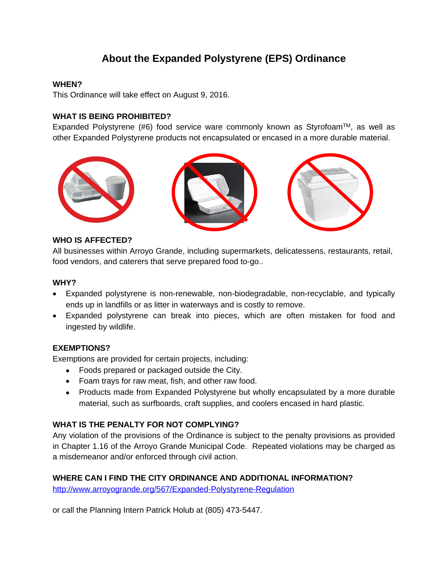# **About the Expanded Polystyrene (EPS) Ordinance**

#### **WHEN?**

This Ordinance will take effect on August 9, 2016.

### **WHAT IS BEING PROHIBITED?**

Expanded Polystyrene (#6) food service ware commonly known as Styrofoam<sup>TM</sup>, as well as other Expanded Polystyrene products not encapsulated or encased in a more durable material.



#### **WHO IS AFFECTED?**

All businesses within Arroyo Grande, including supermarkets, delicatessens, restaurants, retail, food vendors, and caterers that serve prepared food to-go..

#### **WHY?**

- Expanded polystyrene is non-renewable, non-biodegradable, non-recyclable, and typically ends up in landfills or as litter in waterways and is costly to remove.
- Expanded polystyrene can break into pieces, which are often mistaken for food and ingested by wildlife.

#### **EXEMPTIONS?**

Exemptions are provided for certain projects, including:

- Foods prepared or packaged outside the City.
- Foam trays for raw meat, fish, and other raw food.
- Products made from Expanded Polystyrene but wholly encapsulated by a more durable material, such as surfboards, craft supplies, and coolers encased in hard plastic.

### **WHAT IS THE PENALTY FOR NOT COMPLYING?**

Any violation of the provisions of the Ordinance is subject to the penalty provisions as provided in Chapter 1.16 of the Arroyo Grande Municipal Code. Repeated violations may be charged as a misdemeanor and/or enforced through civil action.

#### **WHERE CAN I FIND THE CITY ORDINANCE AND ADDITIONAL INFORMATION?**

<http://www.arroyogrande.org/567/Expanded-Polystyrene-Regulation>

or call the Planning Intern Patrick Holub at (805) 473-5447.